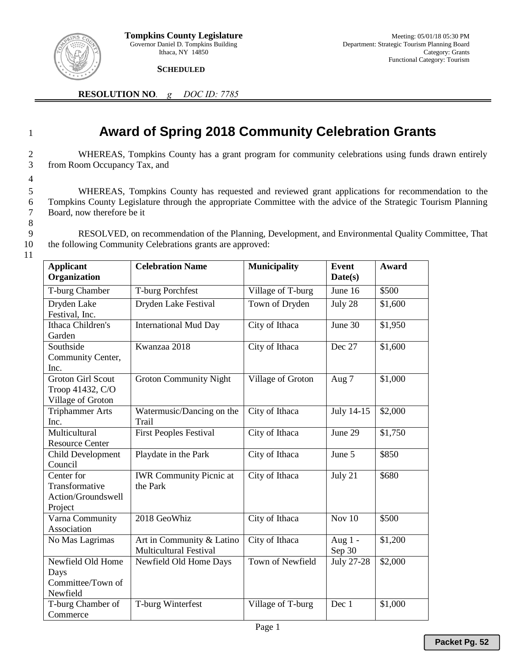

 **SCHEDULED** 

**RESOLUTION NO***. g DOC ID: 7785*

## <sup>1</sup> **Award of Spring 2018 Community Celebration Grants**

2 WHEREAS, Tompkins County has a grant program for community celebrations using funds drawn entirely 3 from Room Occupancy Tax, and

5 WHEREAS, Tompkins County has requested and reviewed grant applications for recommendation to the 6 Tompkins County Legislature through the appropriate Committee with the advice of the Strategic Tourism Planning 7 Board, now therefore be it

8

4

9 RESOLVED, on recommendation of the Planning, Development, and Environmental Quality Committee, That 10 the following Community Celebrations grants are approved:

11

| <b>Applicant</b><br>Organization                                  | <b>Celebration Name</b>                                    | <b>Municipality</b> | <b>Event</b><br>Date(s) | Award   |
|-------------------------------------------------------------------|------------------------------------------------------------|---------------------|-------------------------|---------|
| <b>T-burg Chamber</b>                                             | T-burg Porchfest                                           | Village of T-burg   | June 16                 | \$500   |
| Dryden Lake<br>Festival, Inc.                                     | Dryden Lake Festival                                       | Town of Dryden      | July 28                 | \$1,600 |
| Ithaca Children's<br>Garden                                       | <b>International Mud Day</b>                               | City of Ithaca      | June 30                 | \$1,950 |
| Southside<br>Community Center,<br>Inc.                            | Kwanzaa 2018                                               | City of Ithaca      | Dec 27                  | \$1,600 |
| <b>Groton Girl Scout</b><br>Troop 41432, C/O<br>Village of Groton | <b>Groton Community Night</b>                              | Village of Groton   | Aug 7                   | \$1,000 |
| <b>Triphammer Arts</b><br>Inc.                                    | Watermusic/Dancing on the<br>Trail                         | City of Ithaca      | July 14-15              | \$2,000 |
| Multicultural<br><b>Resource Center</b>                           | <b>First Peoples Festival</b>                              | City of Ithaca      | June 29                 | \$1,750 |
| Child Development<br>Council                                      | Playdate in the Park                                       | City of Ithaca      | June 5                  | \$850   |
| Center for<br>Transformative<br>Action/Groundswell<br>Project     | <b>IWR</b> Community Picnic at<br>the Park                 | City of Ithaca      | July 21                 | \$680   |
| Varna Community<br>Association                                    | 2018 GeoWhiz                                               | City of Ithaca      | Nov $10$                | \$500   |
| No Mas Lagrimas                                                   | Art in Community & Latino<br><b>Multicultural Festival</b> | City of Ithaca      | Aug $1 -$<br>Sep 30     | \$1,200 |
| Newfield Old Home<br>Days<br>Committee/Town of<br>Newfield        | Newfield Old Home Days                                     | Town of Newfield    | <b>July 27-28</b>       | \$2,000 |
| T-burg Chamber of<br>Commerce                                     | T-burg Winterfest                                          | Village of T-burg   | Dec 1                   | \$1,000 |